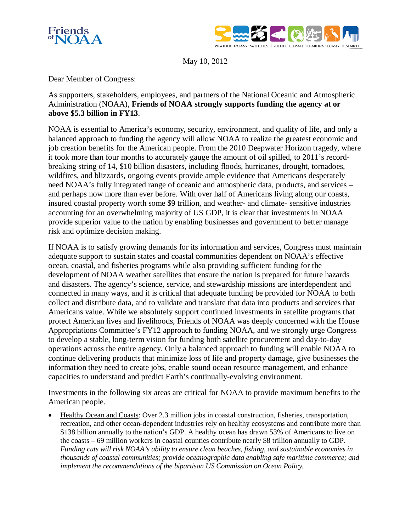



May 10, 2012

Dear Member of Congress:

As supporters, stakeholders, employees, and partners of the National Oceanic and Atmospheric Administration (NOAA), **Friends of NOAA strongly supports funding the agency at or above \$5.3 billion in FY13**.

NOAA is essential to America's economy, security, environment, and quality of life, and only a balanced approach to funding the agency will allow NOAA to realize the greatest economic and job creation benefits for the American people. From the 2010 Deepwater Horizon tragedy, where it took more than four months to accurately gauge the amount of oil spilled, to 2011's recordbreaking string of 14, \$10 billion disasters, including floods, hurricanes, drought, tornadoes, wildfires, and blizzards, ongoing events provide ample evidence that Americans desperately need NOAA's fully integrated range of oceanic and atmospheric data, products, and services – and perhaps now more than ever before. With over half of Americans living along our coasts, insured coastal property worth some \$9 trillion, and weather- and climate- sensitive industries accounting for an overwhelming majority of US GDP, it is clear that investments in NOAA provide superior value to the nation by enabling businesses and government to better manage risk and optimize decision making.

If NOAA is to satisfy growing demands for its information and services, Congress must maintain adequate support to sustain states and coastal communities dependent on NOAA's effective ocean, coastal, and fisheries programs while also providing sufficient funding for the development of NOAA weather satellites that ensure the nation is prepared for future hazards and disasters. The agency's science, service, and stewardship missions are interdependent and connected in many ways, and it is critical that adequate funding be provided for NOAA to both collect and distribute data, and to validate and translate that data into products and services that Americans value. While we absolutely support continued investments in satellite programs that protect American lives and livelihoods, Friends of NOAA was deeply concerned with the House Appropriations Committee's FY12 approach to funding NOAA, and we strongly urge Congress to develop a stable, long-term vision for funding both satellite procurement and day-to-day operations across the entire agency. Only a balanced approach to funding will enable NOAA to continue delivering products that minimize loss of life and property damage, give businesses the information they need to create jobs, enable sound ocean resource management, and enhance capacities to understand and predict Earth's continually-evolving environment.

Investments in the following six areas are critical for NOAA to provide maximum benefits to the American people.

• Healthy Ocean and Coasts: Over 2.3 million jobs in coastal construction, fisheries, transportation, recreation, and other ocean-dependent industries rely on healthy ecosystems and contribute more than \$138 billion annually to the nation's GDP. A healthy ocean has drawn 53% of Americans to live on the coasts – 69 million workers in coastal counties contribute nearly \$8 trillion annually to GDP. *Funding cuts will risk NOAA's ability to ensure clean beaches, fishing, and sustainable economies in thousands of coastal communities; provide oceanographic data enabling safe maritime commerce; and implement the recommendations of the bipartisan US Commission on Ocean Policy.*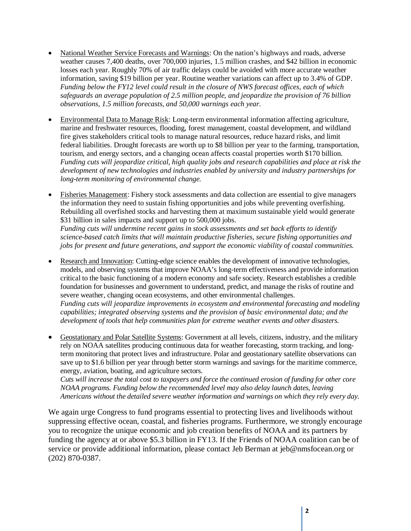- National Weather Service Forecasts and Warnings: On the nation's highways and roads, adverse weather causes 7,400 deaths, over 700,000 injuries, 1.5 million crashes, and \$42 billion in economic losses each year. Roughly 70% of air traffic delays could be avoided with more accurate weather information, saving \$19 billion per year. Routine weather variations can affect up to 3.4% of GDP. *Funding below the FY12 level could result in the closure of NWS forecast offices, each of which safeguards an average population of 2.5 million people, and jeopardize the provision of 76 billion observations, 1.5 million forecasts, and 50,000 warnings each year.*
- Environmental Data to Manage Risk: Long-term environmental information affecting agriculture, marine and freshwater resources, flooding, forest management, coastal development, and wildland fire gives stakeholders critical tools to manage natural resources, reduce hazard risks, and limit federal liabilities. Drought forecasts are worth up to \$8 billion per year to the farming, transportation, tourism, and energy sectors, and a changing ocean affects coastal properties worth \$170 billion. *Funding cuts will jeopardize critical, high quality jobs and research capabilities and place at risk the development of new technologies and industries enabled by university and industry partnerships for long-term monitoring of environmental change.*
- Fisheries Management: Fishery stock assessments and data collection are essential to give managers the information they need to sustain fishing opportunities and jobs while preventing overfishing. Rebuilding all overfished stocks and harvesting them at maximum sustainable yield would generate \$31 billion in sales impacts and support up to 500,000 jobs. *Funding cuts will undermine recent gains in stock assessments and set back efforts to identify science-based catch limits that will maintain productive fisheries, secure fishing opportunities and jobs for present and future generations, and support the economic viability of coastal communities.*
- Research and Innovation: Cutting-edge science enables the development of innovative technologies, models, and observing systems that improve NOAA's long-term effectiveness and provide information critical to the basic functioning of a modern economy and safe society. Research establishes a credible foundation for businesses and government to understand, predict, and manage the risks of routine and severe weather, changing ocean ecosystems, and other environmental challenges. *Funding cuts will jeopardize improvements in ecosystem and environmental forecasting and modeling capabilities; integrated observing systems and the provision of basic environmental data; and the development of tools that help communities plan for extreme weather events and other disasters.*
- Geostationary and Polar Satellite Systems: Government at all levels, citizens, industry, and the military rely on NOAA satellites producing continuous data for weather forecasting, storm tracking, and longterm monitoring that protect lives and infrastructure. Polar and geostationary satellite observations can save up to \$1.6 billion per year through better storm warnings and savings for the maritime commerce, energy, aviation, boating, and agriculture sectors.

*Cuts will increase the total cost to taxpayers and force the continued erosion of funding for other core NOAA programs. Funding below the recommended level may also delay launch dates, leaving Americans without the detailed severe weather information and warnings on which they rely every day.*

We again urge Congress to fund programs essential to protecting lives and livelihoods without suppressing effective ocean, coastal, and fisheries programs. Furthermore, we strongly encourage you to recognize the unique economic and job creation benefits of NOAA and its partners by funding the agency at or above \$5.3 billion in FY13. If the Friends of NOAA coalition can be of service or provide additional information, please contact Jeb Berman at [jeb@nmsfocean.org](mailto:jeb@nmsfocean.org) or (202) 870-0387.